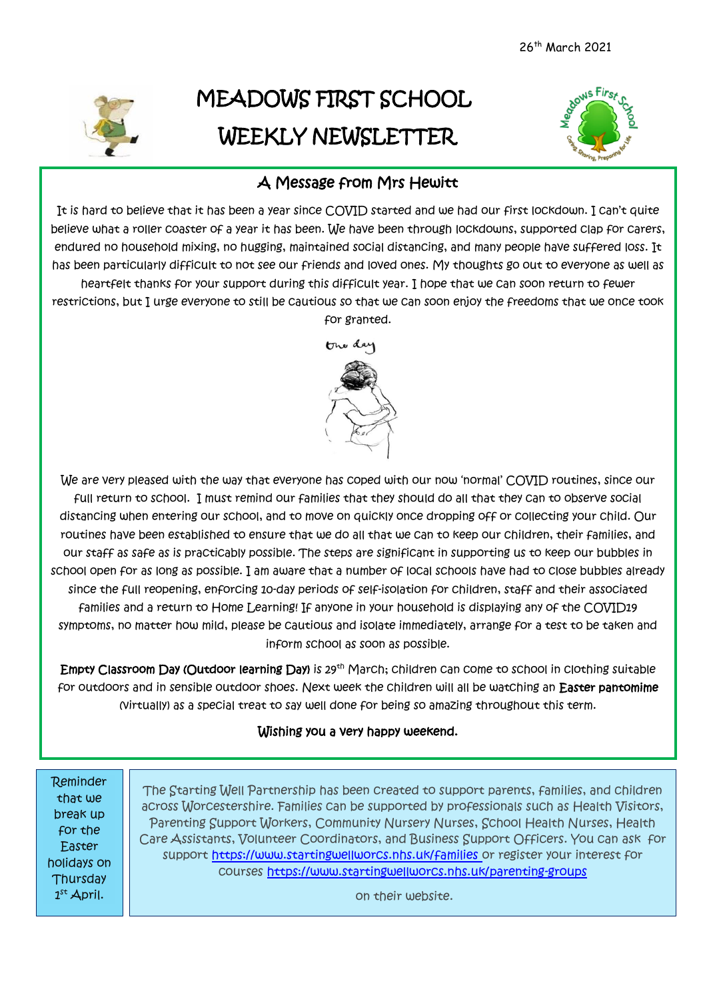

# MEADOWS FIRST SCHOOL WEEKLY NEWSLETTER



## A Message from Mrs Hewitt

It is hard to believe that it has been a year since COVID started and we had our first lockdown. I can't quite believe what a roller coaster of a year it has been. We have been through lockdowns, supported clap for carers, endured no household mixing, no hugging, maintained social distancing, and many people have suffered loss. It has been particularly difficult to not see our friends and loved ones. My thoughts go out to everyone as well as heartfelt thanks for your support during this difficult year. I hope that we can soon return to fewer restrictions, but I urge everyone to still be cautious so that we can soon enjoy the freedoms that we once took

One dar

for granted.



We are very pleased with the way that everyone has coped with our now 'normal' COVID routines, since our full return to school. I must remind our families that they should do all that they can to observe social distancing when entering our school, and to move on quickly once dropping off or collecting your child. Our routines have been established to ensure that we do all that we can to keep our children, their families, and our staff as safe as is practicably possible. The steps are significant in supporting us to keep our bubbles in school open for as long as possible. I am aware that a number of local schools have had to close bubbles already since the full reopening, enforcing 10-day periods of self-isolation for children, staff and their associated families and a return to Home Learning! If anyone in your household is displaying any of the COVID19 symptoms, no matter how mild, please be cautious and isolate immediately, arrange for a test to be taken and inform school as soon as possible.

Empty Classroom Day (Outdoor learning Day) is 29th March; children can come to school in clothing suitable for outdoors and in sensible outdoor shoes. Next week the children will all be watching an Easter pantomime (virtually) as a special treat to say well done for being so amazing throughout this term.

#### Wishing you a very happy weekend.

Reminder that we break up for the Easter holidays on **Thursday**  $1<sup>st</sup>$  April.

í

 The Starting Well Partnership has been created to support parents, families, and children Parenting Support Workers, Community Nursery Nurses, School Health Nurses, Health across Worcestershire. Families can be supported by professionals such as Health Visitors, Care Assistants, Volunteer Coordinators, and Business Support Officers. You can ask for support <https://www.startingwellworcs.nhs.uk/families> or register your interest for courses <https://www.startingwellworcs.nhs.uk/parenting-groups>

on their website.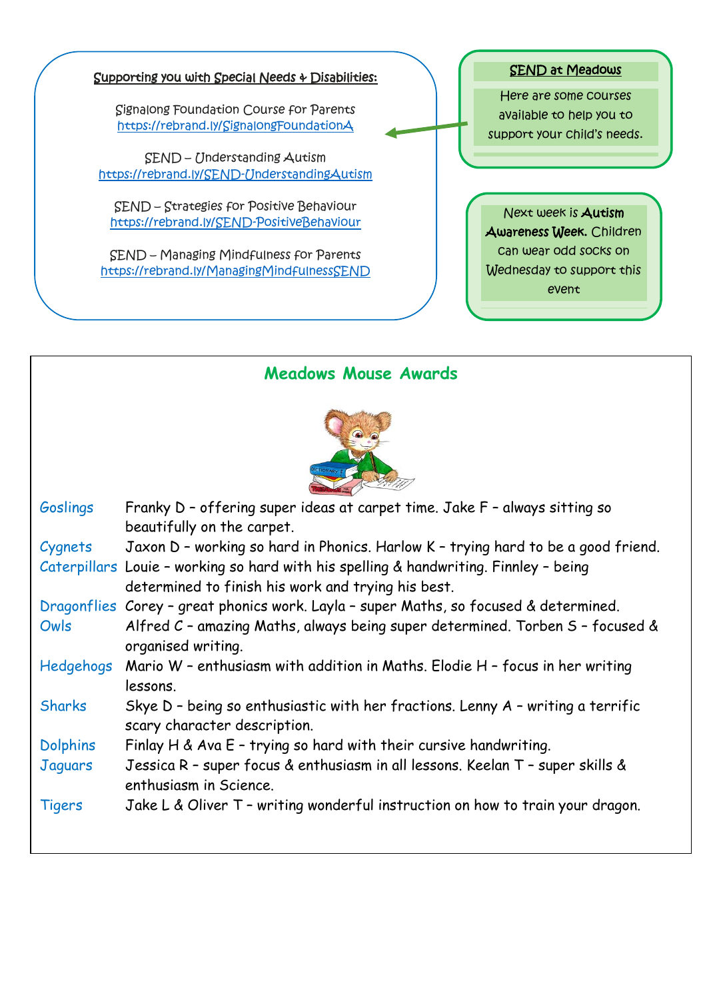#### Supporting you with Special Needs & Disabilities:

Signalong Foundation Course for Parents <https://rebrand.ly/SignalongFoundationA>

SEND – Understanding Autism <https://rebrand.ly/SEND-UnderstandingAutism>

SEND – Strategies for Positive Behaviour <https://rebrand.ly/SEND-PositiveBehaviour>

SEND – Managing Mindfulness for Parents <https://rebrand.ly/ManagingMindfulnessSEND>



Here are some courses available to help you to support your child's needs.

Next week is Autism Awareness Week. Children can wear odd socks on Wednesday to support this event

### **Meadows Mouse Awards**



| Goslings        | Franky D - offering super ideas at carpet time. Jake F - always sitting so            |
|-----------------|---------------------------------------------------------------------------------------|
|                 | beautifully on the carpet.                                                            |
| Cygnets         | Jaxon D - working so hard in Phonics. Harlow K - trying hard to be a good friend.     |
|                 | Caterpillars Louie - working so hard with his spelling & handwriting. Finnley - being |
|                 | determined to finish his work and trying his best.                                    |
|                 | Dragonflies Corey - great phonics work. Layla - super Maths, so focused & determined. |
| Owls            | Alfred C - amazing Maths, always being super determined. Torben S - focused &         |
|                 | organised writing.                                                                    |
| Hedgehogs       | Mario W - enthusiasm with addition in Maths. Elodie H - focus in her writing          |
|                 | lessons.                                                                              |
| <b>Sharks</b>   | Skye $D$ - being so enthusiastic with her fractions. Lenny $A$ - writing a terrific   |
|                 | scary character description.                                                          |
| <b>Dolphins</b> | Finlay H & Ava $E$ - trying so hard with their cursive handwriting.                   |
| Jaquars         | Jessica R - super focus & enthusiasm in all lessons. Keelan T - super skills &        |
|                 | enthusiasm in Science.                                                                |
| <b>Tigers</b>   | Jake L & Oliver T - writing wonderful instruction on how to train your dragon.        |
|                 |                                                                                       |
|                 |                                                                                       |